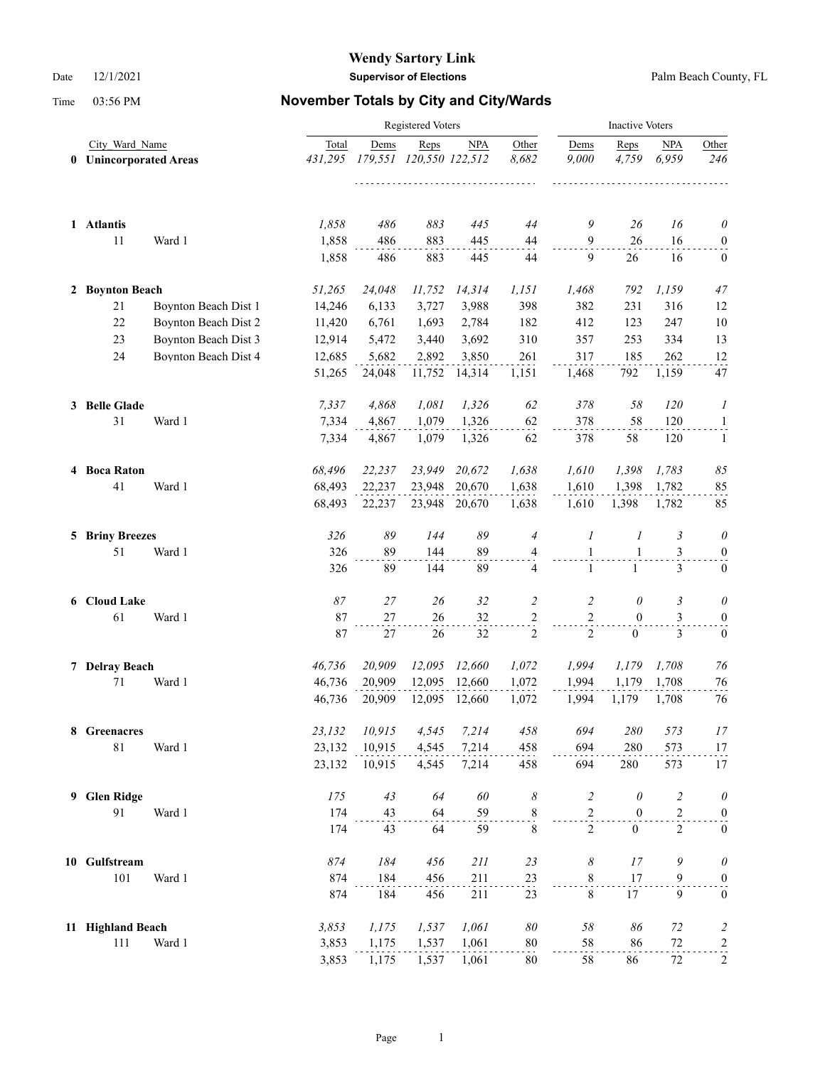|              |                                               |                      | <b>Inactive Voters</b> |            |                                 |               |                  |                     |                  |                         |                   |
|--------------|-----------------------------------------------|----------------------|------------------------|------------|---------------------------------|---------------|------------------|---------------------|------------------|-------------------------|-------------------|
| $\mathbf{0}$ | City Ward Name<br><b>Unincorporated Areas</b> |                      | Total<br>431,295       | Dems       | Reps<br>179,551 120,550 122,512 | <b>NPA</b>    | Other<br>8,682   | Dems<br>9,000<br>.  | Reps<br>4,759    | <b>NPA</b><br>6,959     | Other<br>246      |
|              | 1 Atlantis                                    |                      | 1,858                  | 486        | 883                             | 445           | 44               | 9                   | 26               | 16                      | $\theta$          |
|              | $11\,$                                        | Ward 1               | 1,858<br>1,858         | 486<br>486 | 883<br>883                      | 445<br>445    | 44<br>44         | $\overline{9}$<br>9 | 26<br>26         | 16<br>16                | 0<br>$\bf{0}$     |
|              | 2 Boynton Beach                               |                      | 51,265                 | 24,048     | 11,752                          | 14,314        | 1,151            | 1,468               | 792              | 1,159                   | 47                |
|              | 21                                            | Boynton Beach Dist 1 | 14,246                 | 6,133      | 3,727                           | 3,988         | 398              | 382                 | 231              | 316                     | 12                |
|              | 22                                            | Boynton Beach Dist 2 | 11,420                 | 6,761      | 1,693                           | 2,784         | 182              | 412                 | 123              | 247                     | 10                |
|              | 23                                            | Boynton Beach Dist 3 | 12,914                 | 5,472      | 3,440                           | 3,692         | 310              | 357                 | 253              | 334                     | 13                |
|              | 24                                            | Boynton Beach Dist 4 | 12,685                 | 5,682      | 2,892                           | 3,850         | 261              | 317                 | 185              | 262                     | 12                |
|              |                                               |                      | 51,265                 | 24,048     | 11,752                          | 14,314        | 1,151            | 1,468               | 792              | 1,159                   | 47                |
|              | 3 Belle Glade                                 |                      | 7,337                  | 4,868      | 1,081                           | 1,326         | 62               | 378                 | 58               | 120                     | 1                 |
|              | 31                                            | Ward 1               | 7,334                  | 4,867      | 1,079                           | 1,326         | 62               | 378                 | 58               | 120                     | $\mathbf{1}$      |
|              |                                               |                      | 7,334                  | 4,867      | 1,079                           | 1,326         | 62               | 378                 | 58               | 120                     | $\mathbf{1}$      |
|              | 4 Boca Raton                                  |                      | 68,496                 | 22,237     | 23,949                          | 20,672        | 1,638            | 1,610               | 1,398            | 1,783                   | $\it 85$          |
|              | 41                                            | Ward 1               | 68,493                 | 22,237     | 23,948                          | 20,670        | 1,638            | 1,610               | 1.398            | 1,782                   | 85                |
|              |                                               |                      | 68,493                 | 22,237     |                                 | 23,948 20,670 | 1,638            | 1,610               | 1,398            | 1,782                   | 85                |
|              | <b>5 Briny Breezes</b>                        |                      | 326                    | 89         | 144                             | 89            | $\overline{4}$   | $\boldsymbol{I}$    | 1                | 3                       | 0                 |
|              | 51                                            | Ward 1               | 326                    | 89         | 144                             | 89            | 4                | $\mathbf{1}$        | $\mathbf{1}$     | 3                       | $\boldsymbol{0}$  |
|              |                                               |                      | 326                    | 89         | 144                             | 89            | 4                | $\mathbf{1}$        | $\mathbf{1}$     | 3                       | $\boldsymbol{0}$  |
|              | 6 Cloud Lake                                  |                      | 87                     | 27         | 26                              | 32            | $\overline{c}$   | $\overline{c}$      | $\theta$         | 3                       | $\theta$          |
|              | 61                                            | Ward 1               | 87                     | 27         | 26                              | 32            | 2                | $\sqrt{2}$          | $\mathbf{0}$     | 3                       | $\boldsymbol{0}$  |
|              |                                               |                      | 87                     | 27         | 26                              | 32            | $\overline{2}$   | 2                   | $\boldsymbol{0}$ | 3                       | $\mathbf{0}$      |
|              | 7 Delray Beach                                |                      | 46,736                 | 20,909     | 12,095                          | 12,660        | 1,072            | 1,994               | 1,179            | 1,708                   | 76                |
|              | 71                                            | Ward 1               | 46,736                 | 20,909     | 12,095                          | 12,660        | 1,072            | 1,994               | 1.179            | 1,708                   | 76                |
|              |                                               |                      | 46,736                 | 20,909     | 12,095                          | 12,660        | 1,072            | 1,994               | 1,179            | 1,708                   | 76                |
|              | 8 Greenacres                                  |                      | 23,132                 | 10,915     | 4,545                           | 7,214         | 458              | 694                 | 280              | 573                     | 17                |
|              | $81\,$                                        | Ward 1               | 23,132                 | 10,915     | 4,545                           | 7,214         | 458              | 694                 | 280              | 573                     | 17                |
|              |                                               |                      | 23,132                 | 10,915     | 4,545                           | 7,214         | 458              | 694                 | 280              | 573                     | 17                |
|              | 9 Glen Ridge                                  |                      | 175                    | 43         | 64                              | 60            | 8                | $\overline{c}$      | $\theta$         | $\overline{\mathbf{c}}$ | 0                 |
|              | 91                                            | Ward 1               | 174                    | 43         | 64                              | 59            | $\overset{8}{.}$ | $\mathbf{2}$        | $\boldsymbol{0}$ | $\overline{c}$          | $\boldsymbol{0}$  |
|              |                                               |                      | 174                    | 43         | 64                              | 59            | $\,$ 8 $\,$      | $\overline{2}$      | $\overline{0}$   | 2                       | $\boldsymbol{0}$  |
|              | 10 Gulfstream                                 |                      | 874                    | 184        | 456                             | 211           | 23               | 8                   | 17               | 9                       | $\theta$          |
|              | 101                                           | Ward 1               | 874                    | 184        | 456                             | 211           | 23               | $\,$ 8 $\,$         | 17               | 9                       | $\boldsymbol{0}$  |
|              |                                               |                      | 874                    | 184        | 456                             | 211           | 23               | $\,8\,$             | 17               | 9                       | $\mathbf{0}$      |
|              | 11 Highland Beach                             |                      | 3,853                  | 1,175      | 1,537                           | 1,061         | 80               | $58\,$              | 86               | 72                      | $\overline{c}$    |
|              | 111                                           | Ward 1               | 3,853                  | 1,175      | 1,537                           | 1,061         | 80               | 58                  | 86               | $72\,$                  | $\frac{2}{\cdot}$ |
|              |                                               |                      | 3,853                  | 1,175      | 1,537                           | 1,061         | 80               | 58                  | 86               | 72                      | 2                 |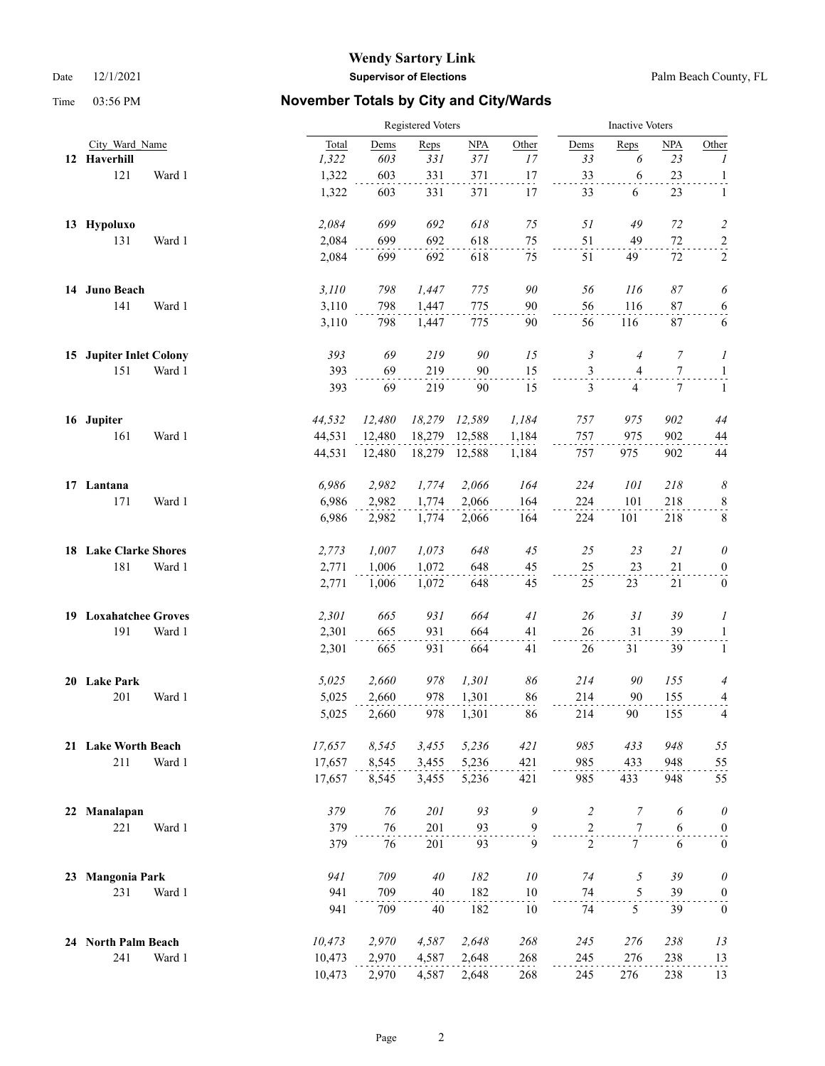|    |                             |        |        | <b>Inactive Voters</b> |           |        |        |                |                          |        |                          |
|----|-----------------------------|--------|--------|------------------------|-----------|--------|--------|----------------|--------------------------|--------|--------------------------|
|    | City Ward Name              |        | Total  | Dems                   | Reps      | NPA    | Other  | Dems           | Reps                     | NPA    | Other                    |
|    | 12 Haverhill                |        | 1,322  | 603                    | 331       | 371    | 17     | 33             | 6                        | 23     | 1                        |
|    | 121                         | Ward 1 | 1,322  | 603                    | 331       | 371    | 17     | 33             | 6                        | 23     | $\frac{1}{\cdot}$        |
|    |                             |        | 1,322  | 603                    | 331       | 371    | 17     | 33             | 6                        | 23     | $\mathbf{1}$             |
|    | 13 Hypoluxo                 |        | 2,084  | 699                    | 692       | 618    | $75\,$ | 51             | 49                       | 72     | $\overline{c}$           |
|    | 131                         | Ward 1 | 2,084  | 699                    | 692       | 618    | 75     | 51             | 49                       | $72\,$ | $\overline{a}$           |
|    |                             |        | 2,084  | 699                    | 692       | 618    | 75     | 51             | 49                       | 72     | $\sqrt{2}$               |
|    | 14 Juno Beach               |        | 3,110  | 798                    | 1,447     | 775    | 90     | 56             | 116                      | 87     | 6                        |
|    | 141                         | Ward 1 | 3,110  | 798                    | 1,447     | 775    | $90\,$ | 56             | 116                      | 87     | 6                        |
|    |                             |        | 3,110  | 798                    | 1,447     | 775    | 90     | 56             | 116                      | 87     | 6                        |
| 15 | <b>Jupiter Inlet Colony</b> |        | 393    | 69                     | 219       | 90     | 15     | 3              | $\overline{4}$           | 7      | 1                        |
|    | 151                         | Ward 1 | 393    | 69                     | 219       | 90     | 15     | $\mathfrak{Z}$ | $\overline{\mathcal{L}}$ | $\tau$ | $\mathbf{1}$             |
|    |                             |        | 393    | 69                     | 219       | 90     | 15     | 3              | 4                        | 7      | $\mathbf{1}$             |
|    | 16 Jupiter                  |        | 44,532 | 12,480                 | 18,279    | 12,589 | 1,184  | 757            | 975                      | 902    | 44                       |
|    | 161                         | Ward 1 | 44,531 | 12,480                 | 18,279    | 12,588 | 1,184  | 757            | 975                      | 902    | 44                       |
|    |                             |        | 44,531 | 12,480                 | 18,279    | 12,588 | 1,184  | 757            | 975                      | 902    | 44                       |
|    | 17 Lantana                  |        | 6,986  | 2,982                  | 1,774     | 2,066  | 164    | 224            | 101                      | 218    | $\boldsymbol{\delta}$    |
|    | 171                         | Ward 1 | 6,986  | 2,982                  | 1,774     | 2,066  | 164    | 224            | 101                      | 218    | $\frac{8}{1}$            |
|    |                             |        | 6,986  | 2,982                  | 1,774     | 2,066  | 164    | 224            | 101                      | 218    | 8                        |
|    | 18 Lake Clarke Shores       |        | 2,773  | 1,007                  | 1,073     | 648    | 45     | 25             | 23                       | 21     | $\theta$                 |
|    | 181                         | Ward 1 | 2,771  | 1,006                  | 1,072     | 648    | 45     | 25             | 23                       | 21     | $\boldsymbol{0}$         |
|    |                             |        | 2,771  | 1,006                  | 1,072     | 648    | 45     | 25             | 23                       | 21     | $\boldsymbol{0}$         |
|    | 19 Loxahatchee Groves       |        | 2,301  | 665                    | 931       | 664    | 41     | 26             | 31                       | 39     | 1                        |
|    | 191                         | Ward 1 | 2,301  | 665                    | 931       | 664    | 41     | 26             | 31                       | 39     | $\overline{1}$           |
|    |                             |        | 2,301  | 665                    | 931       | 664    | 41     | 26             | 31                       | 39     | $\mathbf{1}$             |
|    | 20 Lake Park                |        | 5,025  | 2,660                  | 978       | 1,301  | 86     | 214            | 90                       | 155    | 4                        |
|    | 201                         | Ward 1 | 5,025  | 2,660                  | 978       | 1,301  | 86     | 214            | 90                       | 155    | $\overline{\mathcal{L}}$ |
|    |                             |        | 5,025  | 2,660                  | 978       | 1,301  | 86     | 214            | 90                       | 155    | 4                        |
|    | 21 Lake Worth Beach         |        | 17,657 | 8,545                  | 3,455     | 5,236  | 421    | 985            | 433                      | 948    | 55                       |
|    | 211                         | Ward 1 | 17,657 | 8,545                  | 3,455     | 5,236  | 421    | 985            | 433                      | 948    | 55                       |
|    |                             |        | 17,657 | 8,545                  | 3,455     | 5,236  | 421    | 985            | 433                      | 948    | 55                       |
| 22 | Manalapan                   |        | 379    | 76                     | 201       | 93     | 9      | $\overline{c}$ | $\overline{7}$           | 6      | $\theta$                 |
|    | 221                         | Ward 1 | 379    | 76                     | 201       | 93     | 9      | $\overline{c}$ | 7                        | 6      | $\boldsymbol{0}$         |
|    |                             |        | 379    | 76                     | 201       | 93     | 9      | $\overline{2}$ | $\tau$                   | 6      | $\boldsymbol{0}$         |
| 23 | <b>Mangonia Park</b>        |        | 941    | 709                    | $4\theta$ | 182    | 10     | 74             | 5                        | 39     | $\theta$                 |
|    | 231                         | Ward 1 | 941    | 709                    | 40        | 182    | 10     | 74             | 5                        | 39     | $\boldsymbol{0}$         |
|    |                             |        | 941    | 709                    | 40        | 182    | 10     | 74             | 5                        | 39     | $\boldsymbol{0}$         |
|    | 24 North Palm Beach         |        | 10,473 | 2,970                  | 4,587     | 2,648  | 268    | 245            | 276                      | 238    | 13                       |
|    | 241                         | Ward 1 | 10,473 | 2,970                  | 4,587     | 2,648  | 268    | 245            | 276                      | 238    | 13                       |
|    |                             |        | 10,473 | 2,970                  | 4,587     | 2,648  | 268    | 245            | 276                      | 238    | 13                       |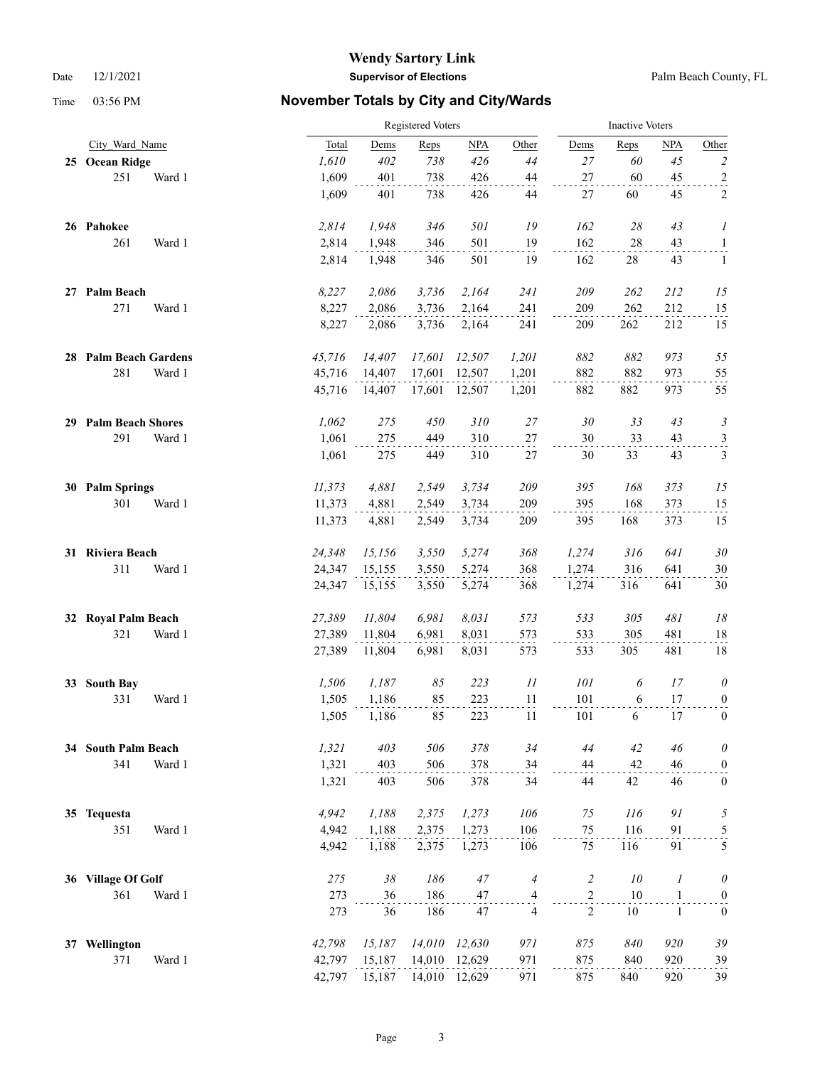|    |                          |        | Registered Voters |        |               |                         |                | <b>Inactive Voters</b> |                  |                  |  |  |
|----|--------------------------|--------|-------------------|--------|---------------|-------------------------|----------------|------------------------|------------------|------------------|--|--|
|    | City Ward Name           | Total  | Dems              | Reps   | NPA           | Other                   | Dems           | Reps                   | <b>NPA</b>       | Other            |  |  |
|    | 25 Ocean Ridge           | 1,610  | 402               | 738    | 426           | $44$                    | 27             | 60                     | 45               | $\sqrt{2}$       |  |  |
|    | 251<br>Ward 1            | 1,609  | 401               | 738    | 426           | $44\,$                  | 27             | 60                     | 45               | $\overline{a}$   |  |  |
|    |                          | 1,609  | 401               | 738    | 426           | 44                      | 27             | 60                     | 45               | $\overline{c}$   |  |  |
|    | 26 Pahokee               | 2,814  | 1,948             | 346    | 501           | 19                      | 162            | 28                     | 43               | 1                |  |  |
|    | 261<br>Ward 1            | 2,814  | 1,948             | 346    | 501           | 19                      | 162            | 28                     | 43               | $\overline{a}$   |  |  |
|    |                          | 2,814  | 1,948             | 346    | 501           | 19                      | 162            | 28                     | 43               | 1                |  |  |
|    | 27 Palm Beach            | 8,227  | 2,086             | 3,736  | 2,164         | 241                     | 209            | 262                    | 212              | 15               |  |  |
|    | 271<br>Ward 1            | 8,227  | 2,086             | 3,736  | 2,164         | 241                     | 209            | 262                    | 212              | 15               |  |  |
|    |                          | 8,227  | 2,086             | 3,736  | 2,164         | 241                     | 209            | 262                    | 212              | 15               |  |  |
|    | 28 Palm Beach Gardens    | 45,716 | 14,407            | 17,601 | 12,507        | 1,201                   | 882            | 882                    | 973              | 55               |  |  |
|    | 281<br>Ward 1            | 45,716 | 14,407            | 17,601 | 12,507        | 1,201                   | 882            | 882                    | 973              | 55               |  |  |
|    |                          | 45,716 | 14,407            | 17,601 | 12,507        | 1,201                   | 882            | 882                    | 973              | 55               |  |  |
| 29 | <b>Palm Beach Shores</b> | 1,062  | 275               | 450    | 310           | 27                      | 30             | 33                     | 43               | 3                |  |  |
|    | 291<br>Ward 1            | 1,061  | 275               | 449    | 310           | $27\,$                  | 30             | 33                     | 43               | $\frac{3}{2}$    |  |  |
|    |                          | 1,061  | 275               | 449    | 310           | $27\,$                  | 30             | 33                     | 43               | $\mathfrak{Z}$   |  |  |
|    | 30 Palm Springs          | 11,373 | 4,881             | 2,549  | 3,734         | 209                     | 395            | 168                    | 373              | 15               |  |  |
|    | 301<br>Ward 1            | 11,373 | 4,881             | 2,549  | 3,734         | 209                     | 395            | 168                    | 373              | 15               |  |  |
|    |                          | 11,373 | 4,881             | 2,549  | 3,734         | 209                     | 395            | 168                    | 373              | 15               |  |  |
|    | 31 Riviera Beach         | 24,348 | 15,156            | 3,550  | 5,274         | 368                     | 1,274          | 316                    | 641              | $30\,$           |  |  |
|    | 311<br>Ward 1            | 24,347 | 15,155            | 3,550  | 5,274         | 368                     | 1,274          | 316                    | 641              | 30               |  |  |
|    |                          | 24,347 | 15,155            | 3,550  | 5,274         | 368                     | 1,274          | 316                    | 641              | $30\,$           |  |  |
| 32 | <b>Royal Palm Beach</b>  | 27,389 | 11,804            | 6,981  | 8,031         | 573                     | 533            | 305                    | 481              | $18\,$           |  |  |
|    | 321<br>Ward 1            | 27,389 | 11,804            | 6,981  | 8,031         | 573                     | 533            | 305                    | 481              | 18               |  |  |
|    |                          | 27,389 | 11,804            | 6,981  | 8,031         | 573                     | 533            | 305                    | 481              | 18               |  |  |
| 33 | <b>South Bay</b>         | 1,506  | 1,187             | 85     | 223           | 11                      | 101            | 6                      | 17               | $\theta$         |  |  |
|    | 331<br>Ward 1            | 1,505  | 1,186             | 85     | 223           | 11                      | 101            | 6                      | 17               | $\overline{0}$   |  |  |
|    |                          | 1,505  | 1,186             | 85     | 223           | 11                      | 101            | 6                      | 17               | $\boldsymbol{0}$ |  |  |
|    | 34 South Palm Beach      | 1,321  | 403               | 506    | 378           | 34                      | 44             | 42                     | 46               | $\theta$         |  |  |
|    | 341<br>Ward 1            | 1,321  | 403               | 506    | 378           | 34                      | 44             | 42                     | 46               | $\boldsymbol{0}$ |  |  |
|    |                          | 1,321  | 403               | 506    | 378           | 34                      | 44             | 42                     | 46               | $\boldsymbol{0}$ |  |  |
|    | 35 Tequesta              | 4,942  | 1,188             | 2,375  | 1,273         | 106                     | 75             | 116                    | 91               | 5                |  |  |
|    | 351<br>Ward 1            | 4,942  | 1,188             | 2,375  | 1,273         | 106                     | 75             | 116                    | 91               | $\frac{5}{1}$    |  |  |
|    |                          | 4,942  | 1,188             | 2,375  | 1,273         | 106                     | 75             | 116                    | 91               | 5                |  |  |
| 36 | <b>Village Of Golf</b>   | 275    | $38\,$            | 186    | 47            | $\overline{4}$          | $\overline{c}$ | $10\,$                 | $\boldsymbol{l}$ | $\theta$         |  |  |
|    | 361<br>Ward 1            | 273    | 36                | 186    | 47            | $\overline{\mathbf{4}}$ | $\overline{c}$ | 10                     | $\mathbf{1}$     | $\boldsymbol{0}$ |  |  |
|    |                          | 273    | 36                | 186    | 47            | $\overline{4}$          | $\overline{2}$ | 10                     | $\mathbf{1}$     | $\mathbf{0}$     |  |  |
| 37 | Wellington               | 42,798 | 15,187            | 14,010 | 12,630        | 971                     | 875            | 840                    | 920              | 39               |  |  |
|    | 371<br>Ward 1            | 42,797 | 15,187            |        | 14,010 12,629 | 971                     | 875            | 840                    | 920              | 39               |  |  |
|    |                          | 42,797 | 15,187            |        | 14,010 12,629 | 971                     | 875            | 840                    | 920              | 39               |  |  |